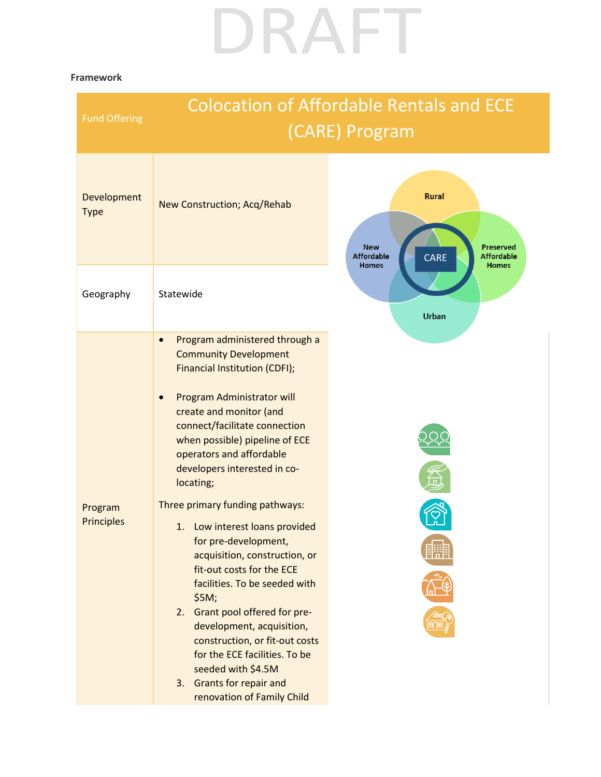## DRAFT

## **Framework**

| <b>Fund Offering</b>         | <b>Colocation of Affordable Rentals and ECE</b><br>(CARE) Program                                                                                                                                                                                                                                                                                                                                                                                                                                                                                                                                                                                                                                                                        |                                                                                                                                  |
|------------------------------|------------------------------------------------------------------------------------------------------------------------------------------------------------------------------------------------------------------------------------------------------------------------------------------------------------------------------------------------------------------------------------------------------------------------------------------------------------------------------------------------------------------------------------------------------------------------------------------------------------------------------------------------------------------------------------------------------------------------------------------|----------------------------------------------------------------------------------------------------------------------------------|
| Development<br><b>Type</b>   | New Construction; Acq/Rehab                                                                                                                                                                                                                                                                                                                                                                                                                                                                                                                                                                                                                                                                                                              | <b>Rural</b><br><b>New</b><br><b>Preserved</b><br>CARE<br><b>Affordable</b><br><b>Affordable</b><br><b>Homes</b><br><b>Homes</b> |
| Geography                    | Statewide                                                                                                                                                                                                                                                                                                                                                                                                                                                                                                                                                                                                                                                                                                                                | <b>Urban</b>                                                                                                                     |
| Program<br><b>Principles</b> | Program administered through a<br><b>Community Development</b><br>Financial Institution (CDFI);<br>Program Administrator will<br>create and monitor (and<br>connect/facilitate connection<br>when possible) pipeline of ECE<br>operators and affordable<br>developers interested in co-<br>locating;<br>Three primary funding pathways:<br>1. Low interest loans provided<br>for pre-development,<br>acquisition, construction, or<br>fit-out costs for the ECE<br>facilities. To be seeded with<br>\$5M;<br>Grant pool offered for pre-<br>2.<br>development, acquisition,<br>construction, or fit-out costs<br>for the ECE facilities. To be<br>seeded with \$4.5M<br><b>Grants for repair and</b><br>3.<br>renovation of Family Child |                                                                                                                                  |